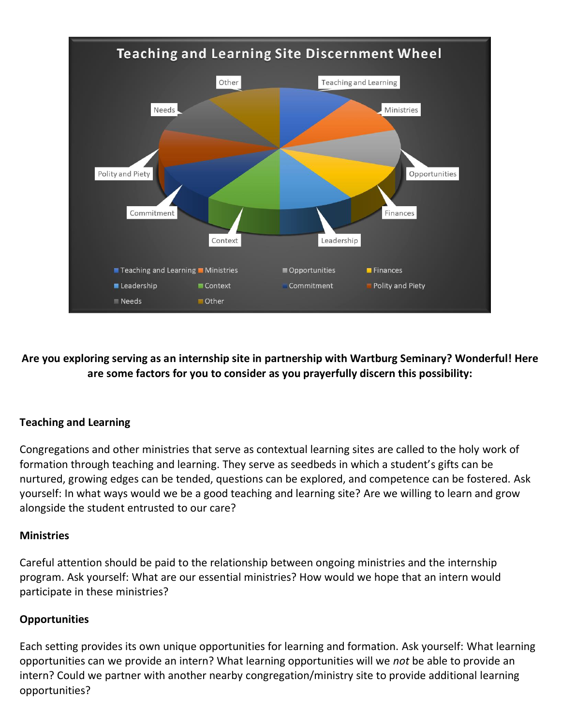

**Are you exploring serving as an internship site in partnership with Wartburg Seminary? Wonderful! Here are some factors for you to consider as you prayerfully discern this possibility:**

# **Teaching and Learning**

Congregations and other ministries that serve as contextual learning sites are called to the holy work of formation through teaching and learning. They serve as seedbeds in which a student's gifts can be nurtured, growing edges can be tended, questions can be explored, and competence can be fostered. Ask yourself: In what ways would we be a good teaching and learning site? Are we willing to learn and grow alongside the student entrusted to our care?

# **Ministries**

Careful attention should be paid to the relationship between ongoing ministries and the internship program. Ask yourself: What are our essential ministries? How would we hope that an intern would participate in these ministries?

# **Opportunities**

Each setting provides its own unique opportunities for learning and formation. Ask yourself: What learning opportunities can we provide an intern? What learning opportunities will we *not* be able to provide an intern? Could we partner with another nearby congregation/ministry site to provide additional learning opportunities?